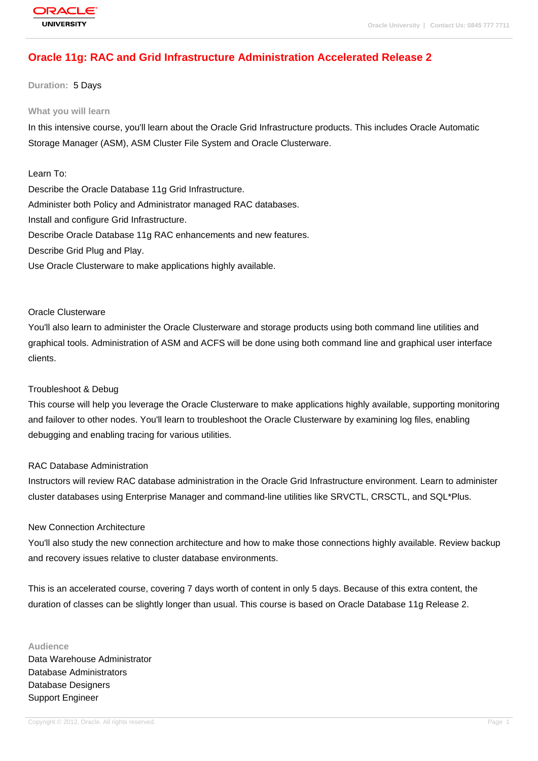# **[Oracle 11g: RA](http://education.oracle.com/pls/web_prod-plq-dad/db_pages.getpage?page_id=3)C and Grid Infrastructure Administration Accelerated Release 2**

**Duration:** 5 Days

#### **What you will learn**

In this intensive course, you'll learn about the Oracle Grid Infrastructure products. This includes Oracle Automatic Storage Manager (ASM), ASM Cluster File System and Oracle Clusterware.

### Learn To:

Describe the Oracle Database 11g Grid Infrastructure. Administer both Policy and Administrator managed RAC databases. Install and configure Grid Infrastructure. Describe Oracle Database 11g RAC enhancements and new features. Describe Grid Plug and Play. Use Oracle Clusterware to make applications highly available.

#### Oracle Clusterware

You'll also learn to administer the Oracle Clusterware and storage products using both command line utilities and graphical tools. Administration of ASM and ACFS will be done using both command line and graphical user interface clients.

#### Troubleshoot & Debug

This course will help you leverage the Oracle Clusterware to make applications highly available, supporting monitoring and failover to other nodes. You'll learn to troubleshoot the Oracle Clusterware by examining log files, enabling debugging and enabling tracing for various utilities.

### RAC Database Administration

Instructors will review RAC database administration in the Oracle Grid Infrastructure environment. Learn to administer cluster databases using Enterprise Manager and command-line utilities like SRVCTL, CRSCTL, and SQL\*Plus.

### New Connection Architecture

You'll also study the new connection architecture and how to make those connections highly available. Review backup and recovery issues relative to cluster database environments.

This is an accelerated course, covering 7 days worth of content in only 5 days. Because of this extra content, the duration of classes can be slightly longer than usual. This course is based on Oracle Database 11g Release 2.

**Audience** Data Warehouse Administrator Database Administrators Database Designers Support Engineer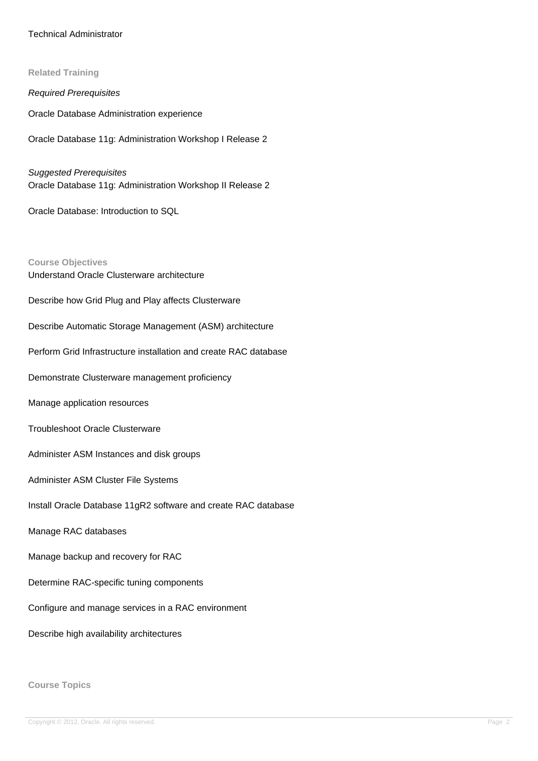### Technical Administrator

**Related Training**

Required Prerequisites

Oracle Database Administration experience

Oracle Database 11g: Administration Workshop I Release 2

Suggested Prerequisites Oracle Database 11g: Administration Workshop II Release 2

Oracle Database: Introduction to SQL

**Course Objectives** Understand Oracle Clusterware architecture Describe how Grid Plug and Play affects Clusterware Describe Automatic Storage Management (ASM) architecture Perform Grid Infrastructure installation and create RAC database Demonstrate Clusterware management proficiency Manage application resources Troubleshoot Oracle Clusterware Administer ASM Instances and disk groups Administer ASM Cluster File Systems Install Oracle Database 11gR2 software and create RAC database Manage RAC databases Manage backup and recovery for RAC Determine RAC-specific tuning components Configure and manage services in a RAC environment Describe high availability architectures

**Course Topics**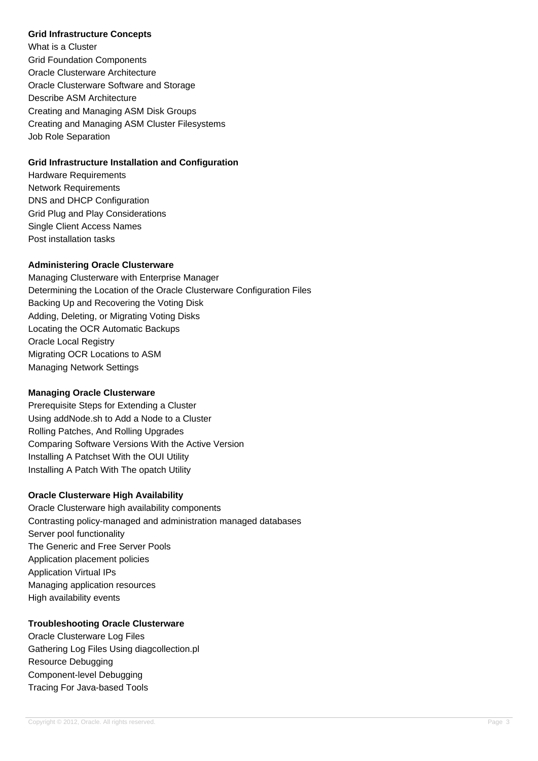#### **Grid Infrastructure Concepts**

What is a Cluster Grid Foundation Components Oracle Clusterware Architecture Oracle Clusterware Software and Storage Describe ASM Architecture Creating and Managing ASM Disk Groups Creating and Managing ASM Cluster Filesystems Job Role Separation

### **Grid Infrastructure Installation and Configuration**

Hardware Requirements Network Requirements DNS and DHCP Configuration Grid Plug and Play Considerations Single Client Access Names Post installation tasks

### **Administering Oracle Clusterware**

Managing Clusterware with Enterprise Manager Determining the Location of the Oracle Clusterware Configuration Files Backing Up and Recovering the Voting Disk Adding, Deleting, or Migrating Voting Disks Locating the OCR Automatic Backups Oracle Local Registry Migrating OCR Locations to ASM Managing Network Settings

### **Managing Oracle Clusterware**

Prerequisite Steps for Extending a Cluster Using addNode.sh to Add a Node to a Cluster Rolling Patches, And Rolling Upgrades Comparing Software Versions With the Active Version Installing A Patchset With the OUI Utility Installing A Patch With The opatch Utility

### **Oracle Clusterware High Availability**

Oracle Clusterware high availability components Contrasting policy-managed and administration managed databases Server pool functionality The Generic and Free Server Pools Application placement policies Application Virtual IPs Managing application resources High availability events

## **Troubleshooting Oracle Clusterware**

Oracle Clusterware Log Files Gathering Log Files Using diagcollection.pl Resource Debugging Component-level Debugging Tracing For Java-based Tools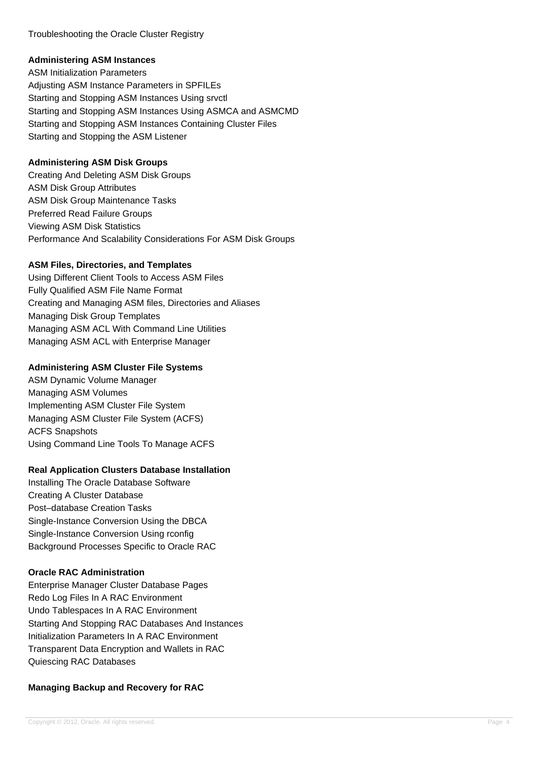Troubleshooting the Oracle Cluster Registry

### **Administering ASM Instances**

ASM Initialization Parameters Adjusting ASM Instance Parameters in SPFILEs Starting and Stopping ASM Instances Using srvctl Starting and Stopping ASM Instances Using ASMCA and ASMCMD Starting and Stopping ASM Instances Containing Cluster Files Starting and Stopping the ASM Listener

# **Administering ASM Disk Groups**

Creating And Deleting ASM Disk Groups ASM Disk Group Attributes ASM Disk Group Maintenance Tasks Preferred Read Failure Groups Viewing ASM Disk Statistics Performance And Scalability Considerations For ASM Disk Groups

## **ASM Files, Directories, and Templates**

Using Different Client Tools to Access ASM Files Fully Qualified ASM File Name Format Creating and Managing ASM files, Directories and Aliases Managing Disk Group Templates Managing ASM ACL With Command Line Utilities Managing ASM ACL with Enterprise Manager

# **Administering ASM Cluster File Systems**

ASM Dynamic Volume Manager Managing ASM Volumes Implementing ASM Cluster File System Managing ASM Cluster File System (ACFS) ACFS Snapshots Using Command Line Tools To Manage ACFS

## **Real Application Clusters Database Installation**

Installing The Oracle Database Software Creating A Cluster Database Post–database Creation Tasks Single-Instance Conversion Using the DBCA Single-Instance Conversion Using rconfig Background Processes Specific to Oracle RAC

## **Oracle RAC Administration**

Enterprise Manager Cluster Database Pages Redo Log Files In A RAC Environment Undo Tablespaces In A RAC Environment Starting And Stopping RAC Databases And Instances Initialization Parameters In A RAC Environment Transparent Data Encryption and Wallets in RAC Quiescing RAC Databases

# **Managing Backup and Recovery for RAC**